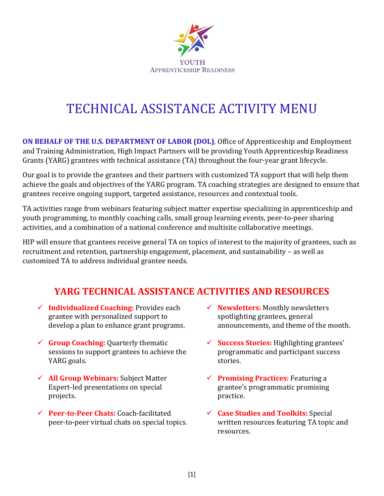

# TECHNICAL ASSISTANCE ACTIVITY MENU

**ON BEHALF OF THE U.S. DEPARTMENT OF LABOR (DOL)**, Office of Apprenticeship and Employment and Training Administration, High Impact Partners will be providing Youth Apprenticeship Readiness Grants (YARG) grantees with technical assistance (TA) throughout the four-year grant lifecycle.

Our goal is to provide the grantees and their partners with customized TA support that will help them achieve the goals and objectives of the YARG program. TA coaching strategies are designed to ensure that grantees receive ongoing support, targeted assistance, resources and contextual tools.

TA activities range from webinars featuring subject matter expertise specializing in apprenticeship and youth programming, to monthly coaching calls, small group learning events, peer-to-peer sharing activities, and a combination of a national conference and multisite collaborative meetings.

HIP will ensure that grantees receive general TA on topics of interest to the majority of grantees, such as recruitment and retention, partnership engagement, placement, and sustainability – as well as customized TA to address individual grantee needs.

## **YARG TECHNICAL ASSISTANCE ACTIVITIES AND RESOURCES**

- ✓ **Individualized Coaching:** Provides each grantee with personalized support to develop a plan to enhance grant programs.
- ✓ **Group Coaching:** Quarterly thematic sessions to support grantees to achieve the YARG goals.
- ✓ **All Group Webinars:** Subject Matter Expert-led presentations on special projects.
- ✓ **Peer-to-Peer Chats:** Coach-facilitated peer-to-peer virtual chats on special topics.
- ✓ **Newsletters:** Monthly newsletters spotlighting grantees, general announcements, and theme of the month**.**
- ✓ **Success Stories:** Highlighting grantees' programmatic and participant success stories.
- ✓ **Promising Practices:** Featuring a grantee's programmatic promising practice.
- ✓ **Case Studies and Toolkits:** Special written resources featuring TA topic and resources.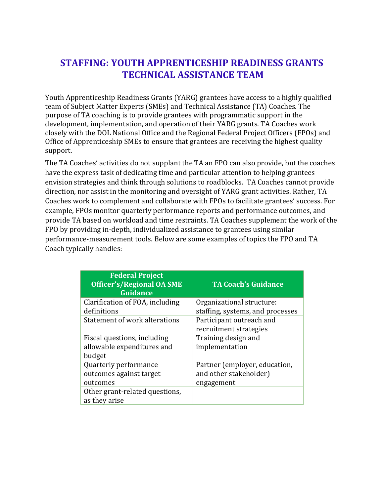### **STAFFING: YOUTH APPRENTICESHIP READINESS GRANTS TECHNICAL ASSISTANCE TEAM**

Youth Apprenticeship Readiness Grants (YARG) grantees have access to a highly qualified team of Subject Matter Experts (SMEs) and Technical Assistance (TA) Coaches. The purpose of TA coaching is to provide grantees with programmatic support in the development, implementation, and operation of their YARG grants. TA Coaches work closely with the DOL National Office and the Regional Federal Project Officers (FPOs) and Office of Apprenticeship SMEs to ensure that grantees are receiving the highest quality support.

The TA Coaches' activities do not supplant the TA an FPO can also provide, but the coaches have the express task of dedicating time and particular attention to helping grantees envision strategies and think through solutions to roadblocks. TA Coaches cannot provide direction, nor assist in the monitoring and oversight of YARG grant activities. Rather, TA Coaches work to complement and collaborate with FPOs to facilitate grantees' success. For example, FPOs monitor quarterly performance reports and performance outcomes, and provide TA based on workload and time restraints. TA Coaches supplement the work of the FPO by providing in-depth, individualized assistance to grantees using similar performance-measurement tools. Below are some examples of topics the FPO and TA Coach typically handles:

| <b>Federal Project</b><br><b>Officer's/Regional OA SME</b><br><b>Guidance</b> | <b>TA Coach's Guidance</b>                         |
|-------------------------------------------------------------------------------|----------------------------------------------------|
| Clarification of FOA, including                                               | Organizational structure:                          |
| definitions                                                                   | staffing, systems, and processes                   |
| Statement of work alterations                                                 | Participant outreach and<br>recruitment strategies |
| Fiscal questions, including                                                   | Training design and                                |
| allowable expenditures and<br>budget                                          | implementation                                     |
| Quarterly performance                                                         | Partner (employer, education,                      |
| outcomes against target                                                       | and other stakeholder)                             |
| outcomes                                                                      | engagement                                         |
| Other grant-related questions,<br>as they arise                               |                                                    |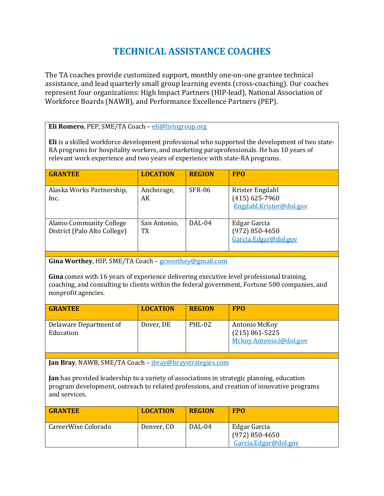## **TECHNICAL ASSISTANCE COACHES**

The TA coaches provide customized support, monthly one-on-one grantee technical assistance, and lead quarterly small group learning events (cross-coaching). Our coaches represent four organizations: High Impact Partners (HIP-lead), National Association of Workforce Boards (NAWB), and Performance Excellence Partners (PEP).

#### **Eli Romero**, PEP, SME/TA Coach – [eli@listogroup.org](mailto:eli@listogroup.org)

**Eli** is a skilled workforce development professional who supported the development of two state-RA programs for hospitality workers, and marketing paraprofessionals. He has 10 years of relevant work experience and two years of experience with state-RA programs.

| <b>GRANTEE</b>                                                 | <b>LOCATION</b>    | <b>REGION</b> | <b>FPO</b>                                                     |
|----------------------------------------------------------------|--------------------|---------------|----------------------------------------------------------------|
| Alaska Works Partnership,<br>Inc.                              | Anchorage,<br>AK   | SFR-06        | Krister Engdahl<br>$(415)$ 625-7960<br>Engdahl.Krister@dol.gov |
| <b>Alamo Community College</b><br>District (Palo Alto College) | San Antonio,<br>TX | DAL-04        | Edgar Garcia<br>$(972) 850 - 4650$<br>Garcia.Edgar@dol.gov     |

**Gina Worthey**, HIP, SME/TA Coach – [gcworthey@gmail.com](mailto:gcworthey@gmail.com)

**Gina** comes with 16 years of experience delivering executive level professional training, coaching, and consulting to clients within the federal government, Fortune 500 companies, and nonprofit agencies.

| <b>GRANTEE</b>                      | <b>LOCATION</b> | <b>REGION</b> | <b>FPO</b>                                                     |
|-------------------------------------|-----------------|---------------|----------------------------------------------------------------|
| Delaware Department of<br>Education | Dover, DE       | PHL-02        | Antonio McKoy<br>$(215) 861 - 5225$<br>Mckoy.Antonio.l@dol.gov |

**Jan Bray**, NAWB, SME/TA Coach – [jbray@braystrategies.com](mailto:jbray@braystrategies.com)

**Jan** has provided leadership to a variety of associations in strategic planning, education program development, outreach to related professions, and creation of innovative programs and services.

| <b>GRANTEE</b>      | <b>LOCATION</b> | <b>REGION</b> | <b>FPO</b>                                                 |
|---------------------|-----------------|---------------|------------------------------------------------------------|
| CareerWise Colorado | Denver, CO      | DAL-04        | Edgar Garcia<br>$(972) 850 - 4650$<br>Garcia.Edgar@dol.gov |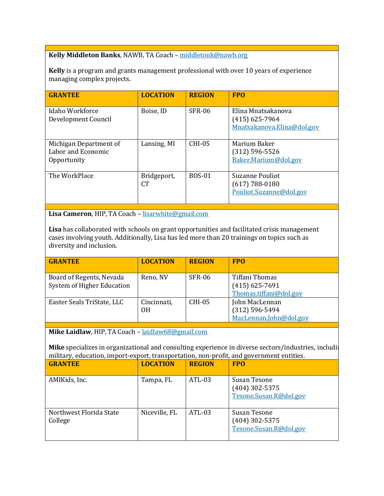#### **Kelly Middleton Banks**, NAWB, TA Coach – [middletonk@nawb.org](mailto:middletonk@nawb.org)

**Kelly** is a program and grants management professional with over 10 years of experience managing complex projects.

| <b>GRANTEE</b>                                              | <b>LOCATION</b>          | <b>REGION</b> | <b>FPO</b>                                                              |
|-------------------------------------------------------------|--------------------------|---------------|-------------------------------------------------------------------------|
| Idaho Workforce<br>Development Council                      | Boise, ID                | <b>SFR-06</b> | Elina Mnatsakanova<br>$(415)$ 625-7964<br>Mnatsakanova.Elina@dol.gov    |
| Michigan Department of<br>Labor and Economic<br>Opportunity | Lansing, MI              | $CHI-0.5$     | Marium Baker<br>$(312) 596 - 5526$<br>Baker.Marium@dol.gov              |
| The WorkPlace                                               | Bridgeport,<br><b>CT</b> | <b>BOS-01</b> | <b>Suzanne Pouliot</b><br>$(617) 788 - 0180$<br>Pouliot.Suzanne@dol.gov |

**Lisa Cameron**, HIP, TA Coach – [lisarwhite@gmail.com](mailto:lisarwhite@gmail.com)

**Lisa** has collaborated with schools on grant opportunities and facilitated crisis management cases involving youth. Additionally, Lisa has led more than 20 trainings on topics such as diversity and inclusion.

| <b>GRANTEE</b>                                         | <b>LOCATION</b>   | <b>REGION</b> | <b>FPO</b>                                                     |
|--------------------------------------------------------|-------------------|---------------|----------------------------------------------------------------|
| Board of Regents, Nevada<br>System of Higher Education | Reno, NV          | SFR-06        | Tiffani Thomas<br>$(415)$ 625-7691<br>Thomas.tiffani@dol.gov   |
| Easter Seals TriState, LLC                             | Cincinnati,<br>0H | CHI-05        | John MacLennan<br>$(312) 596 - 5494$<br>MacLennan.John@dol.gov |

**Mike Laidlaw**, HIP, TA Coach – [laidlaw68@gmail.com](mailto:laidlaw68@gmail.com)

Mike specializes in organizational and consulting experience in diverse sectors/industries, includi military, education, import-export, transportation, non-profit, and government entities.

| <b>GRANTEE</b>                     | <b>LOCATION</b> | <b>REGION</b> | <b>FPO</b>                                                 |
|------------------------------------|-----------------|---------------|------------------------------------------------------------|
| AMIKids, Inc.                      | Tampa, FL       | ATL-03        | Susan Tesone<br>$(404)$ 302-5375<br>Tesone.Susan.R@dol.gov |
| Northwest Florida State<br>College | Niceville, FL   | $ATL-03$      | Susan Tesone<br>$(404)$ 302-5375<br>Tesone.Susan.R@dol.gov |